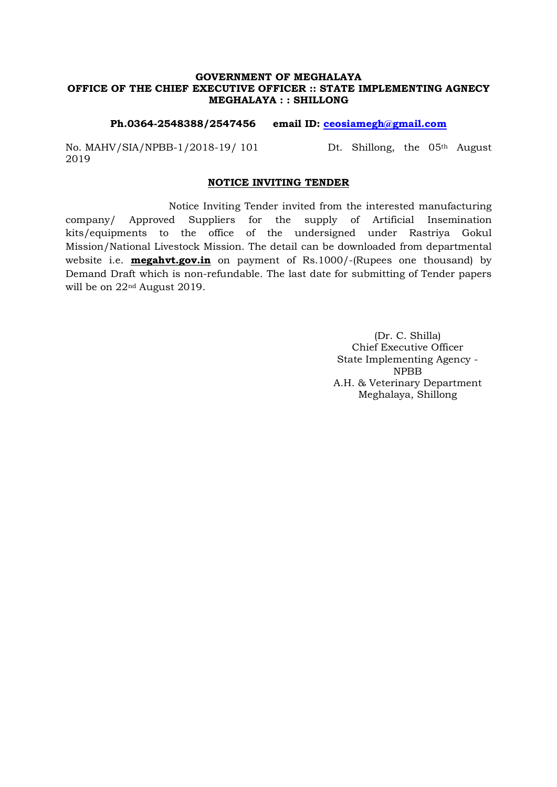#### GOVERNMENT OF MEGHALAYA OFFICE OF THE CHIEF EXECUTIVE OFFICER :: STATE IMPLEMENTING AGNECY MEGHALAYA : : SHILLONG

#### Ph.0364-2548388/2547456 email ID: ceosiamegh@gmail.com

No. MAHV/SIA/NPBB-1/2018-19/ 101 Dt. Shillong, the 05<sup>th</sup> August 2019

#### NOTICE INVITING TENDER

Notice Inviting Tender invited from the interested manufacturing company/ Approved Suppliers for the supply of Artificial Insemination kits/equipments to the office of the undersigned under Rastriya Gokul Mission/National Livestock Mission. The detail can be downloaded from departmental website i.e. **megahvt.gov.in** on payment of Rs.1000/-(Rupees one thousand) by Demand Draft which is non-refundable. The last date for submitting of Tender papers will be on 22nd August 2019.

> (Dr. C. Shilla) Chief Executive Officer State Implementing Agency - NPBB A.H. & Veterinary Department Meghalaya, Shillong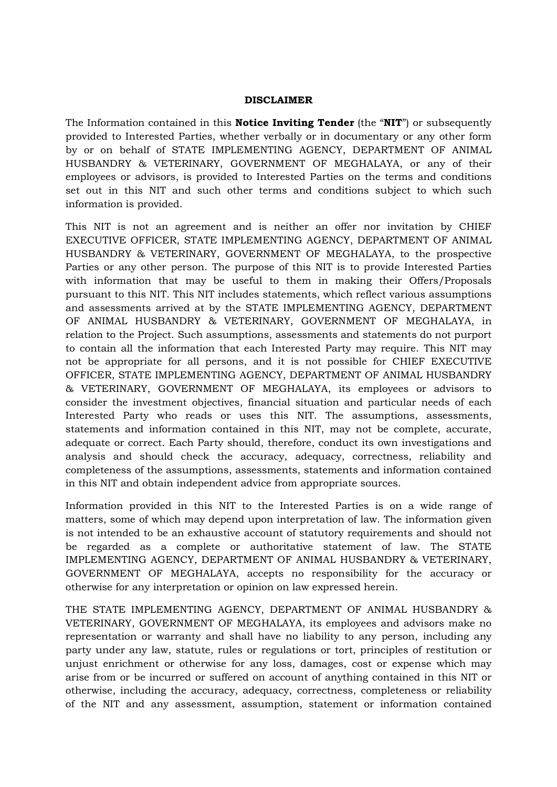#### DISCLAIMER

The Information contained in this **Notice Inviting Tender** (the "**NIT**") or subsequently provided to Interested Parties, whether verbally or in documentary or any other form by or on behalf of STATE IMPLEMENTING AGENCY, DEPARTMENT OF ANIMAL HUSBANDRY & VETERINARY, GOVERNMENT OF MEGHALAYA, or any of their employees or advisors, is provided to Interested Parties on the terms and conditions set out in this NIT and such other terms and conditions subject to which such information is provided.

This NIT is not an agreement and is neither an offer nor invitation by CHIEF EXECUTIVE OFFICER, STATE IMPLEMENTING AGENCY, DEPARTMENT OF ANIMAL HUSBANDRY & VETERINARY, GOVERNMENT OF MEGHALAYA, to the prospective Parties or any other person. The purpose of this NIT is to provide Interested Parties with information that may be useful to them in making their Offers/Proposals pursuant to this NIT. This NIT includes statements, which reflect various assumptions and assessments arrived at by the STATE IMPLEMENTING AGENCY, DEPARTMENT OF ANIMAL HUSBANDRY & VETERINARY, GOVERNMENT OF MEGHALAYA, in relation to the Project. Such assumptions, assessments and statements do not purport to contain all the information that each Interested Party may require. This NIT may not be appropriate for all persons, and it is not possible for CHIEF EXECUTIVE OFFICER, STATE IMPLEMENTING AGENCY, DEPARTMENT OF ANIMAL HUSBANDRY & VETERINARY, GOVERNMENT OF MEGHALAYA, its employees or advisors to consider the investment objectives, financial situation and particular needs of each Interested Party who reads or uses this NIT. The assumptions, assessments, statements and information contained in this NIT, may not be complete, accurate, adequate or correct. Each Party should, therefore, conduct its own investigations and analysis and should check the accuracy, adequacy, correctness, reliability and completeness of the assumptions, assessments, statements and information contained in this NIT and obtain independent advice from appropriate sources.

Information provided in this NIT to the Interested Parties is on a wide range of matters, some of which may depend upon interpretation of law. The information given is not intended to be an exhaustive account of statutory requirements and should not be regarded as a complete or authoritative statement of law. The STATE IMPLEMENTING AGENCY, DEPARTMENT OF ANIMAL HUSBANDRY & VETERINARY, GOVERNMENT OF MEGHALAYA, accepts no responsibility for the accuracy or otherwise for any interpretation or opinion on law expressed herein.

THE STATE IMPLEMENTING AGENCY, DEPARTMENT OF ANIMAL HUSBANDRY & VETERINARY, GOVERNMENT OF MEGHALAYA, its employees and advisors make no representation or warranty and shall have no liability to any person, including any party under any law, statute, rules or regulations or tort, principles of restitution or unjust enrichment or otherwise for any loss, damages, cost or expense which may arise from or be incurred or suffered on account of anything contained in this NIT or otherwise, including the accuracy, adequacy, correctness, completeness or reliability of the NIT and any assessment, assumption, statement or information contained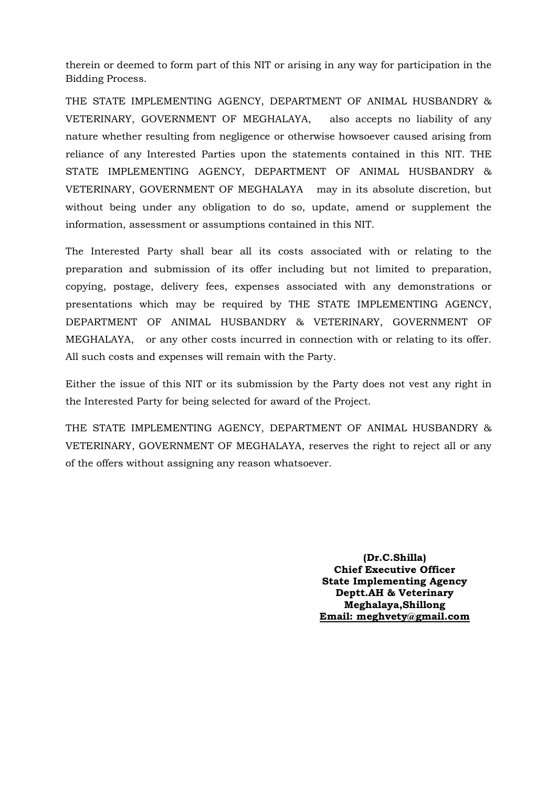therein or deemed to form part of this NIT or arising in any way for participation in the Bidding Process.

THE STATE IMPLEMENTING AGENCY, DEPARTMENT OF ANIMAL HUSBANDRY & VETERINARY, GOVERNMENT OF MEGHALAYA, also accepts no liability of any nature whether resulting from negligence or otherwise howsoever caused arising from reliance of any Interested Parties upon the statements contained in this NIT. THE STATE IMPLEMENTING AGENCY, DEPARTMENT OF ANIMAL HUSBANDRY & VETERINARY, GOVERNMENT OF MEGHALAYA may in its absolute discretion, but without being under any obligation to do so, update, amend or supplement the information, assessment or assumptions contained in this NIT.

The Interested Party shall bear all its costs associated with or relating to the preparation and submission of its offer including but not limited to preparation, copying, postage, delivery fees, expenses associated with any demonstrations or presentations which may be required by THE STATE IMPLEMENTING AGENCY, DEPARTMENT OF ANIMAL HUSBANDRY & VETERINARY, GOVERNMENT OF MEGHALAYA, or any other costs incurred in connection with or relating to its offer. All such costs and expenses will remain with the Party.

Either the issue of this NIT or its submission by the Party does not vest any right in the Interested Party for being selected for award of the Project.

THE STATE IMPLEMENTING AGENCY, DEPARTMENT OF ANIMAL HUSBANDRY & VETERINARY, GOVERNMENT OF MEGHALAYA, reserves the right to reject all or any of the offers without assigning any reason whatsoever.

> (Dr.C.Shilla) Chief Executive Officer State Implementing Agency Deptt.AH & Veterinary Meghalaya,Shillong Email: meghvety@gmail.com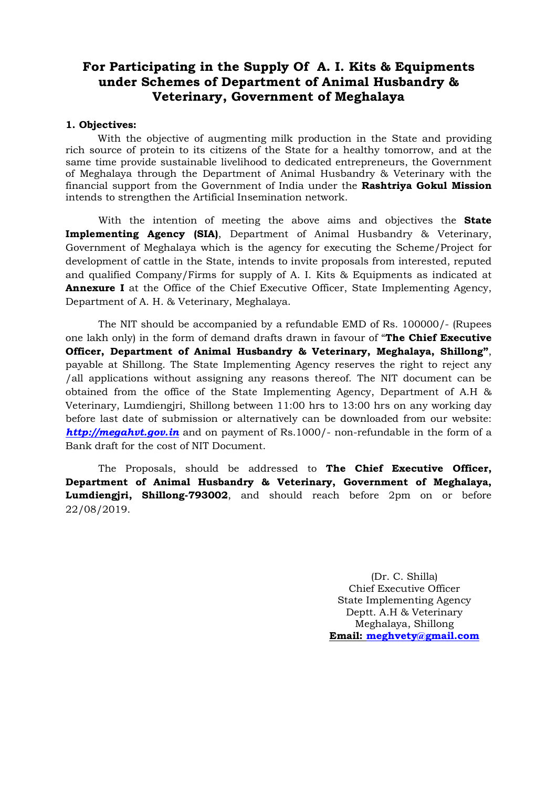# For Participating in the Supply Of A. I. Kits & Equipments under Schemes of Department of Animal Husbandry & Veterinary, Government of Meghalaya

#### 1. Objectives:

With the objective of augmenting milk production in the State and providing rich source of protein to its citizens of the State for a healthy tomorrow, and at the same time provide sustainable livelihood to dedicated entrepreneurs, the Government of Meghalaya through the Department of Animal Husbandry & Veterinary with the financial support from the Government of India under the Rashtriya Gokul Mission intends to strengthen the Artificial Insemination network.

With the intention of meeting the above aims and objectives the **State** Implementing Agency (SIA), Department of Animal Husbandry & Veterinary, Government of Meghalaya which is the agency for executing the Scheme/Project for development of cattle in the State, intends to invite proposals from interested, reputed and qualified Company/Firms for supply of A. I. Kits & Equipments as indicated at Annexure I at the Office of the Chief Executive Officer, State Implementing Agency, Department of A. H. & Veterinary, Meghalaya.

The NIT should be accompanied by a refundable EMD of Rs. 100000/- (Rupees one lakh only) in the form of demand drafts drawn in favour of "The Chief Executive Officer, Department of Animal Husbandry & Veterinary, Meghalaya, Shillong", payable at Shillong. The State Implementing Agency reserves the right to reject any /all applications without assigning any reasons thereof. The NIT document can be obtained from the office of the State Implementing Agency, Department of A.H & Veterinary, Lumdiengjri, Shillong between 11:00 hrs to 13:00 hrs on any working day before last date of submission or alternatively can be downloaded from our website: http://megahvt.gov.in and on payment of Rs.1000/- non-refundable in the form of a Bank draft for the cost of NIT Document.

The Proposals, should be addressed to The Chief Executive Officer, Department of Animal Husbandry & Veterinary, Government of Meghalaya, Lumdiengjri, Shillong-793002, and should reach before 2pm on or before 22/08/2019.

> (Dr. C. Shilla) Chief Executive Officer State Implementing Agency Deptt. A.H & Veterinary Meghalaya, Shillong Email: meghvety@gmail.com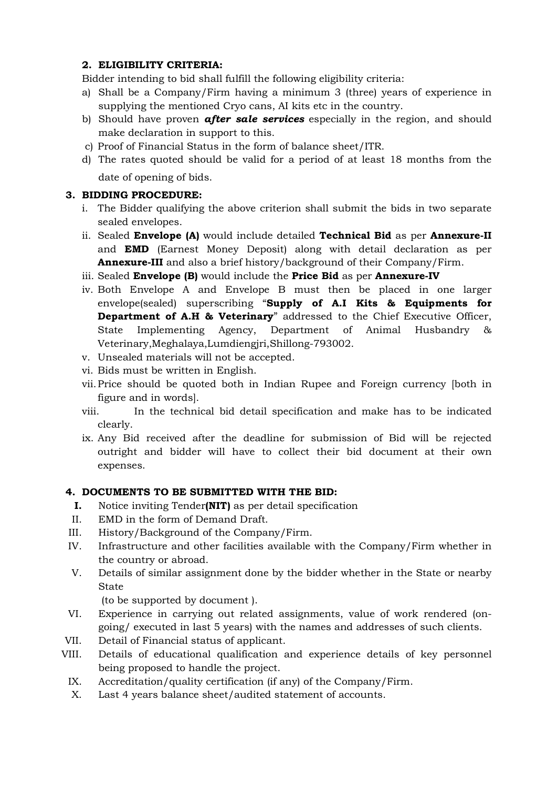### 2. ELIGIBILITY CRITERIA:

Bidder intending to bid shall fulfill the following eligibility criteria:

- a) Shall be a Company/Firm having a minimum 3 (three) years of experience in supplying the mentioned Cryo cans, AI kits etc in the country.
- b) Should have proven **after sale services** especially in the region, and should make declaration in support to this.
- c) Proof of Financial Status in the form of balance sheet/ITR.
- d) The rates quoted should be valid for a period of at least 18 months from the date of opening of bids.

### 3. BIDDING PROCEDURE:

- i. The Bidder qualifying the above criterion shall submit the bids in two separate sealed envelopes.
- ii. Sealed Envelope (A) would include detailed Technical Bid as per Annexure-II and EMD (Earnest Money Deposit) along with detail declaration as per Annexure-III and also a brief history/background of their Company/Firm.
- iii. Sealed Envelope (B) would include the Price Bid as per Annexure-IV
- iv. Both Envelope A and Envelope B must then be placed in one larger envelope(sealed) superscribing "Supply of A.I Kits & Equipments for Department of A.H & Veterinary" addressed to the Chief Executive Officer, State Implementing Agency, Department of Animal Husbandry & Veterinary,Meghalaya,Lumdiengjri,Shillong-793002.
- v. Unsealed materials will not be accepted.
- vi. Bids must be written in English.
- vii.Price should be quoted both in Indian Rupee and Foreign currency [both in figure and in words].
- viii. In the technical bid detail specification and make has to be indicated clearly.
- ix. Any Bid received after the deadline for submission of Bid will be rejected outright and bidder will have to collect their bid document at their own expenses.

### 4. DOCUMENTS TO BE SUBMITTED WITH THE BID:

- I. Notice inviting Tender(NIT) as per detail specification
- II. EMD in the form of Demand Draft.
- III. History/Background of the Company/Firm.
- IV. Infrastructure and other facilities available with the Company/Firm whether in the country or abroad.
- V. Details of similar assignment done by the bidder whether in the State or nearby State

(to be supported by document ).

- VI. Experience in carrying out related assignments, value of work rendered (ongoing/ executed in last 5 years) with the names and addresses of such clients.
- VII. Detail of Financial status of applicant.
- VIII. Details of educational qualification and experience details of key personnel being proposed to handle the project.
- IX. Accreditation/quality certification (if any) of the Company/Firm.
- X. Last 4 years balance sheet/audited statement of accounts.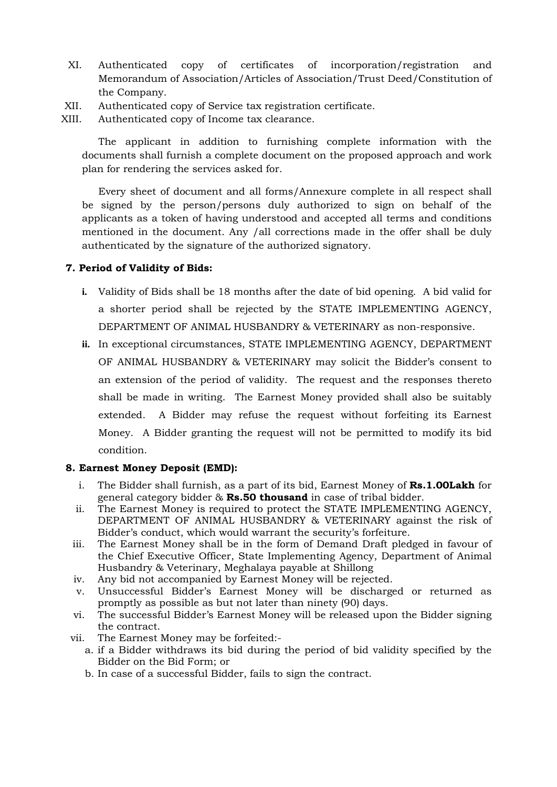- XI. Authenticated copy of certificates of incorporation/registration and Memorandum of Association/Articles of Association/Trust Deed/Constitution of the Company.
- XII. Authenticated copy of Service tax registration certificate.
- XIII. Authenticated copy of Income tax clearance.

The applicant in addition to furnishing complete information with the documents shall furnish a complete document on the proposed approach and work plan for rendering the services asked for.

Every sheet of document and all forms/Annexure complete in all respect shall be signed by the person/persons duly authorized to sign on behalf of the applicants as a token of having understood and accepted all terms and conditions mentioned in the document. Any /all corrections made in the offer shall be duly authenticated by the signature of the authorized signatory.

#### 7. Period of Validity of Bids:

- i. Validity of Bids shall be 18 months after the date of bid opening. A bid valid for a shorter period shall be rejected by the STATE IMPLEMENTING AGENCY, DEPARTMENT OF ANIMAL HUSBANDRY & VETERINARY as non-responsive.
- ii. In exceptional circumstances, STATE IMPLEMENTING AGENCY, DEPARTMENT OF ANIMAL HUSBANDRY & VETERINARY may solicit the Bidder's consent to an extension of the period of validity. The request and the responses thereto shall be made in writing. The Earnest Money provided shall also be suitably extended. A Bidder may refuse the request without forfeiting its Earnest Money. A Bidder granting the request will not be permitted to modify its bid condition.

#### 8. Earnest Money Deposit (EMD):

- i. The Bidder shall furnish, as a part of its bid, Earnest Money of Rs.1.00Lakh for general category bidder & Rs.50 thousand in case of tribal bidder.
- ii. The Earnest Money is required to protect the STATE IMPLEMENTING AGENCY, DEPARTMENT OF ANIMAL HUSBANDRY & VETERINARY against the risk of Bidder's conduct, which would warrant the security's forfeiture.
- iii. The Earnest Money shall be in the form of Demand Draft pledged in favour of the Chief Executive Officer, State Implementing Agency, Department of Animal Husbandry & Veterinary, Meghalaya payable at Shillong
- iv. Any bid not accompanied by Earnest Money will be rejected.
- v. Unsuccessful Bidder's Earnest Money will be discharged or returned as promptly as possible as but not later than ninety (90) days.
- vi. The successful Bidder's Earnest Money will be released upon the Bidder signing the contract.
- vii. The Earnest Money may be forfeited:
	- a. if a Bidder withdraws its bid during the period of bid validity specified by the Bidder on the Bid Form; or
	- b. In case of a successful Bidder, fails to sign the contract.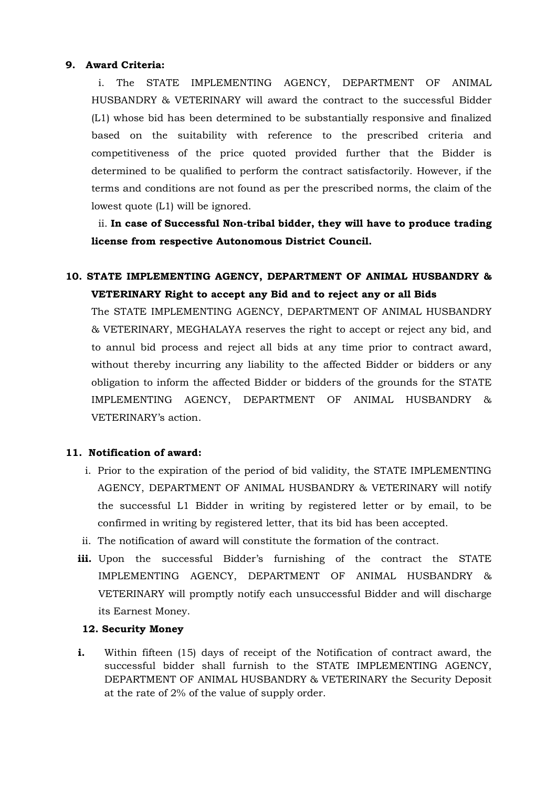#### 9. Award Criteria:

i. The STATE IMPLEMENTING AGENCY, DEPARTMENT OF ANIMAL HUSBANDRY & VETERINARY will award the contract to the successful Bidder (L1) whose bid has been determined to be substantially responsive and finalized based on the suitability with reference to the prescribed criteria and competitiveness of the price quoted provided further that the Bidder is determined to be qualified to perform the contract satisfactorily. However, if the terms and conditions are not found as per the prescribed norms, the claim of the lowest quote (L1) will be ignored.

ii. In case of Successful Non-tribal bidder, they will have to produce trading license from respective Autonomous District Council.

# 10. STATE IMPLEMENTING AGENCY, DEPARTMENT OF ANIMAL HUSBANDRY & VETERINARY Right to accept any Bid and to reject any or all Bids

The STATE IMPLEMENTING AGENCY, DEPARTMENT OF ANIMAL HUSBANDRY & VETERINARY, MEGHALAYA reserves the right to accept or reject any bid, and to annul bid process and reject all bids at any time prior to contract award, without thereby incurring any liability to the affected Bidder or bidders or any obligation to inform the affected Bidder or bidders of the grounds for the STATE IMPLEMENTING AGENCY, DEPARTMENT OF ANIMAL HUSBANDRY & VETERINARY's action.

### 11. Notification of award:

- i. Prior to the expiration of the period of bid validity, the STATE IMPLEMENTING AGENCY, DEPARTMENT OF ANIMAL HUSBANDRY & VETERINARY will notify the successful L1 Bidder in writing by registered letter or by email, to be confirmed in writing by registered letter, that its bid has been accepted.
- ii. The notification of award will constitute the formation of the contract.
- iii. Upon the successful Bidder's furnishing of the contract the STATE IMPLEMENTING AGENCY, DEPARTMENT OF ANIMAL HUSBANDRY & VETERINARY will promptly notify each unsuccessful Bidder and will discharge its Earnest Money.

#### 12. Security Money

i. Within fifteen (15) days of receipt of the Notification of contract award, the successful bidder shall furnish to the STATE IMPLEMENTING AGENCY, DEPARTMENT OF ANIMAL HUSBANDRY & VETERINARY the Security Deposit at the rate of 2% of the value of supply order.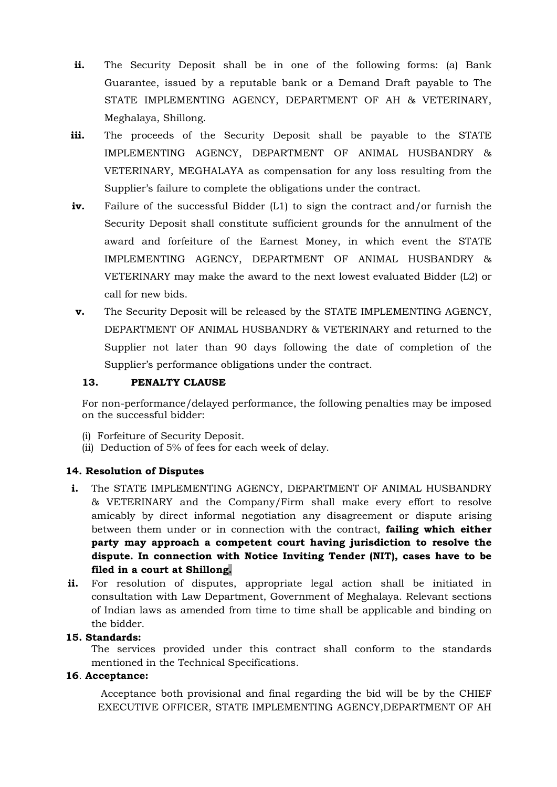- ii. The Security Deposit shall be in one of the following forms: (a) Bank Guarantee, issued by a reputable bank or a Demand Draft payable to The STATE IMPLEMENTING AGENCY, DEPARTMENT OF AH & VETERINARY, Meghalaya, Shillong.
- iii. The proceeds of the Security Deposit shall be payable to the STATE IMPLEMENTING AGENCY, DEPARTMENT OF ANIMAL HUSBANDRY & VETERINARY, MEGHALAYA as compensation for any loss resulting from the Supplier's failure to complete the obligations under the contract.
- iv. Failure of the successful Bidder (L1) to sign the contract and/or furnish the Security Deposit shall constitute sufficient grounds for the annulment of the award and forfeiture of the Earnest Money, in which event the STATE IMPLEMENTING AGENCY, DEPARTMENT OF ANIMAL HUSBANDRY & VETERINARY may make the award to the next lowest evaluated Bidder (L2) or call for new bids.
- v. The Security Deposit will be released by the STATE IMPLEMENTING AGENCY, DEPARTMENT OF ANIMAL HUSBANDRY & VETERINARY and returned to the Supplier not later than 90 days following the date of completion of the Supplier's performance obligations under the contract.

### 13. PENALTY CLAUSE

For non-performance/delayed performance, the following penalties may be imposed on the successful bidder:

- (i) Forfeiture of Security Deposit.
- (ii) Deduction of 5% of fees for each week of delay.

#### 14. Resolution of Disputes

- i. The STATE IMPLEMENTING AGENCY, DEPARTMENT OF ANIMAL HUSBANDRY & VETERINARY and the Company/Firm shall make every effort to resolve amicably by direct informal negotiation any disagreement or dispute arising between them under or in connection with the contract, **failing which either** party may approach a competent court having jurisdiction to resolve the dispute. In connection with Notice Inviting Tender (NIT), cases have to be filed in a court at Shillong.
- ii. For resolution of disputes, appropriate legal action shall be initiated in consultation with Law Department, Government of Meghalaya. Relevant sections of Indian laws as amended from time to time shall be applicable and binding on the bidder.

#### 15. Standards:

The services provided under this contract shall conform to the standards mentioned in the Technical Specifications.

#### 16. Acceptance:

 Acceptance both provisional and final regarding the bid will be by the CHIEF EXECUTIVE OFFICER, STATE IMPLEMENTING AGENCY,DEPARTMENT OF AH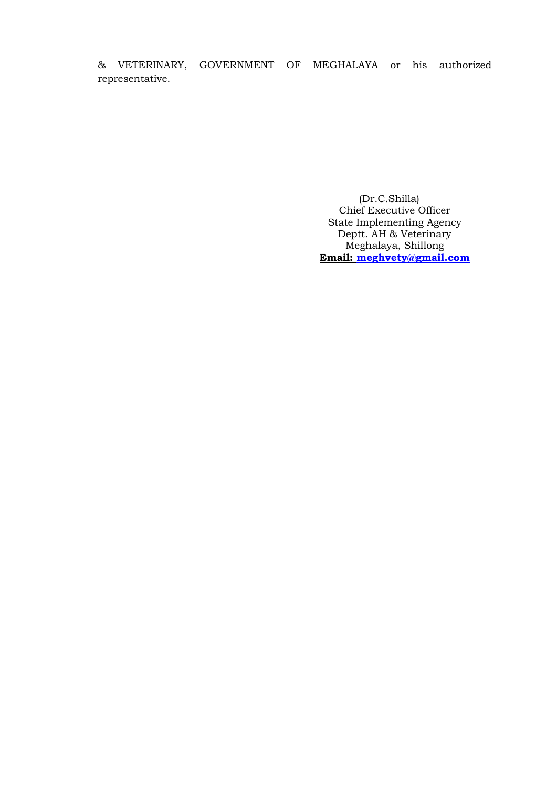& VETERINARY, GOVERNMENT OF MEGHALAYA or his authorized representative.

> (Dr.C.Shilla) Chief Executive Officer State Implementing Agency Deptt. AH & Veterinary Meghalaya, Shillong Email: meghvety@gmail.com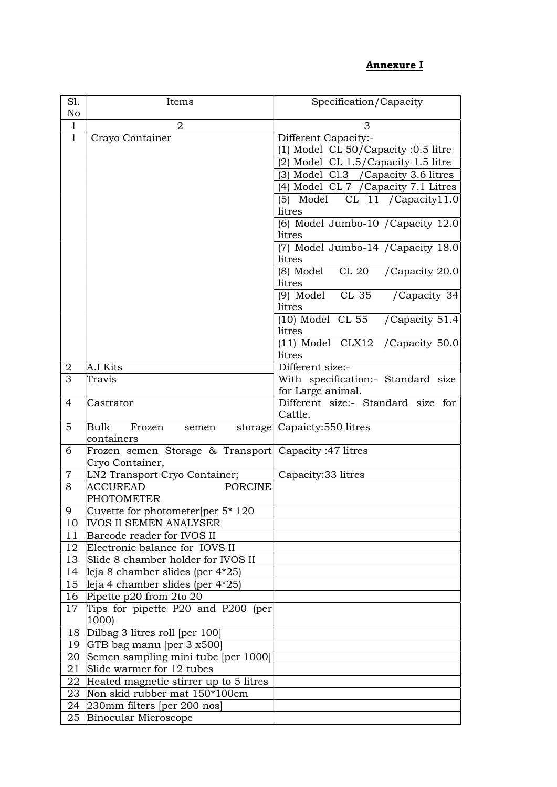## Annexure I

| S1.            | Items                                                                | Specification/Capacity                                  |  |
|----------------|----------------------------------------------------------------------|---------------------------------------------------------|--|
| No             |                                                                      |                                                         |  |
| $\mathbf{1}$   | $\overline{2}$                                                       | 3                                                       |  |
| $\mathbf{1}$   | Crayo Container                                                      | Different Capacity:-                                    |  |
|                |                                                                      | (1) Model CL 50/Capacity :0.5 litre                     |  |
|                |                                                                      | (2) Model CL 1.5/Capacity 1.5 litre                     |  |
|                |                                                                      | (3) Model Cl.3 / Capacity 3.6 litres                    |  |
|                |                                                                      | (4) Model CL 7 / Capacity 7.1 Litres                    |  |
|                |                                                                      | $(5)$ Model CL 11 / Capacity 11.0<br>litres             |  |
|                |                                                                      | (6) Model Jumbo-10 / Capacity 12.0                      |  |
|                |                                                                      | litres                                                  |  |
|                |                                                                      | (7) Model Jumbo-14 / Capacity 18.0                      |  |
|                |                                                                      | litres                                                  |  |
|                |                                                                      | CL 20<br>(8) Model<br>/Capacity 20.0                    |  |
|                |                                                                      | litres                                                  |  |
|                |                                                                      | (9) Model CL 35 / Capacity 34                           |  |
|                |                                                                      | litres                                                  |  |
|                |                                                                      | $(10)$ Model CL 55<br>/Capacity 51.4                    |  |
|                |                                                                      | litres                                                  |  |
|                |                                                                      | $(11)$ Model CLX12 / Capacity 50.0                      |  |
|                |                                                                      | litres                                                  |  |
| 2              | A.I Kits                                                             | Different size:-                                        |  |
| 3              | Travis                                                               | With specification:- Standard size                      |  |
| 4              | Castrator                                                            | for Large animal.<br>Different size:- Standard size for |  |
|                |                                                                      | Cattle.                                                 |  |
| 5              | Bulk<br>Frozen<br>semen                                              | storage Capaicty: 550 litres                            |  |
|                | containers                                                           |                                                         |  |
| 6              | Frozen semen Storage & Transport Capacity: 47 litres                 |                                                         |  |
|                | Cryo Container,                                                      |                                                         |  |
| $\overline{7}$ | LN2 Transport Cryo Container;                                        | Capacity:33 litres                                      |  |
| 8              | <b>ACCUREAD</b><br><b>PORCINE</b>                                    |                                                         |  |
|                | PHOTOMETER                                                           |                                                         |  |
| 9              | Cuvette for photometer $[per 5* 120]$                                |                                                         |  |
|                | 10 IVOS II SEMEN ANALYSER                                            |                                                         |  |
| 11             | Barcode reader for IVOS II                                           |                                                         |  |
| 12             | Electronic balance for IOVS II<br>Slide 8 chamber holder for IVOS II |                                                         |  |
| 13<br>14       | leja 8 chamber slides (per $4*25$ )                                  |                                                         |  |
| 15             | leja 4 chamber slides (per $4*25$ )                                  |                                                         |  |
| 16             | Pipette p20 from 2to 20                                              |                                                         |  |
| 17             | Tips for pipette P20 and P200 (per                                   |                                                         |  |
|                | 1000)                                                                |                                                         |  |
| 18             | Dilbag 3 litres roll [per 100]                                       |                                                         |  |
| 19             | GTB bag manu [per 3 x500]                                            |                                                         |  |
| 20             | Semen sampling mini tube [per 1000]                                  |                                                         |  |
| 21             | Slide warmer for 12 tubes                                            |                                                         |  |
| 22             | Heated magnetic stirrer up to 5 litres                               |                                                         |  |
| 23             | Non skid rubber mat 150*100cm                                        |                                                         |  |
| 24             | 230mm filters [per 200 nos]                                          |                                                         |  |
|                | 25 Binocular Microscope                                              |                                                         |  |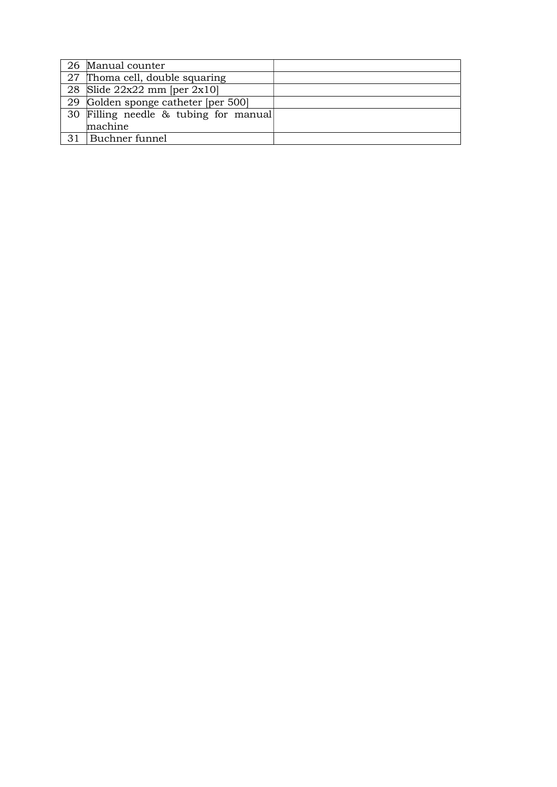|    | 26 Manual counter                     |  |
|----|---------------------------------------|--|
|    | 27 Thoma cell, double squaring        |  |
|    | 28 Slide $22x22$ mm [per $2x10$ ]     |  |
|    | 29 Golden sponge catheter [per 500]   |  |
|    | 30 Filling needle & tubing for manual |  |
|    | machine                               |  |
| 31 | Buchner funnel                        |  |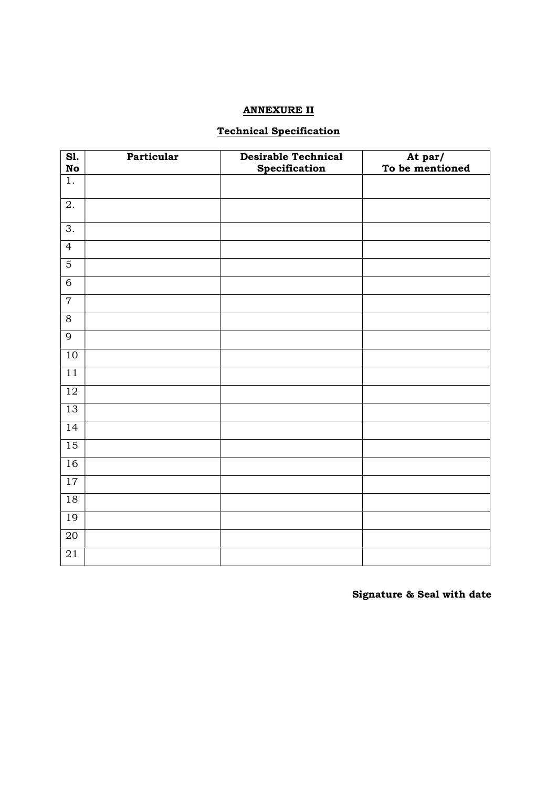## ANNEXURE II

## Technical Specification

| S1.<br><b>No</b> | Particular | <b>Desirable Technical</b><br>Specification | At par/<br>To be mentioned |
|------------------|------------|---------------------------------------------|----------------------------|
| $\overline{1}$ . |            |                                             |                            |
| $\overline{2}$ . |            |                                             |                            |
| $\overline{3}$ . |            |                                             |                            |
| $\overline{4}$   |            |                                             |                            |
| $\overline{5}$   |            |                                             |                            |
| $\overline{6}$   |            |                                             |                            |
| $\overline{7}$   |            |                                             |                            |
| $\overline{8}$   |            |                                             |                            |
| $\overline{9}$   |            |                                             |                            |
| 10               |            |                                             |                            |
| $\overline{11}$  |            |                                             |                            |
| $\overline{12}$  |            |                                             |                            |
| 13               |            |                                             |                            |
| 14               |            |                                             |                            |
| $\overline{15}$  |            |                                             |                            |
| 16               |            |                                             |                            |
| 17               |            |                                             |                            |
| 18               |            |                                             |                            |
| 19               |            |                                             |                            |
| $\overline{20}$  |            |                                             |                            |
| 21               |            |                                             |                            |

Signature & Seal with date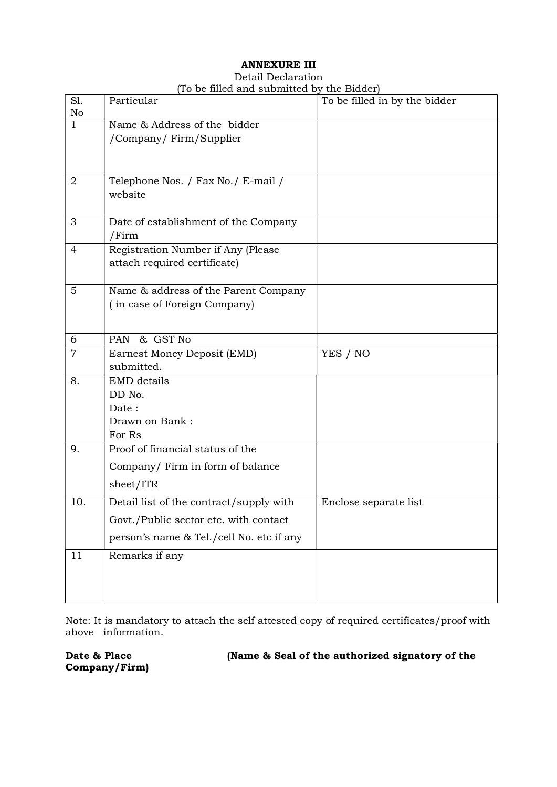# ANNEXURE III

#### Detail Declaration (To be filled and submitted by the Bidder)

| S1.<br>No      | Particular                               | To be filled in by the bidder |
|----------------|------------------------------------------|-------------------------------|
| $\mathbf{1}$   | Name & Address of the bidder             |                               |
|                | /Company/ Firm/Supplier                  |                               |
|                |                                          |                               |
| 2              | Telephone Nos. / Fax No./ E-mail /       |                               |
|                | website                                  |                               |
| 3              | Date of establishment of the Company     |                               |
|                | /Firm                                    |                               |
| $\overline{4}$ | Registration Number if Any (Please       |                               |
|                | attach required certificate)             |                               |
| 5              | Name & address of the Parent Company     |                               |
|                | (in case of Foreign Company)             |                               |
|                |                                          |                               |
| 6              | & GST No<br><b>PAN</b>                   |                               |
| $\overline{7}$ | Earnest Money Deposit (EMD)              | YES / NO                      |
|                | submitted.                               |                               |
| 8.             | EMD details<br>DD No.                    |                               |
|                | Date:                                    |                               |
|                | Drawn on Bank:                           |                               |
|                | For Rs                                   |                               |
| 9.             | Proof of financial status of the         |                               |
|                | Company/ Firm in form of balance         |                               |
|                | sheet/ITR                                |                               |
| 10.            | Detail list of the contract/supply with  | Enclose separate list         |
|                | Govt./Public sector etc. with contact    |                               |
|                | person's name & Tel./cell No. etc if any |                               |
| 11             | Remarks if any                           |                               |
|                |                                          |                               |
|                |                                          |                               |

Note: It is mandatory to attach the self attested copy of required certificates/proof with above information.

Company/Firm)

Date & Place (Name & Seal of the authorized signatory of the